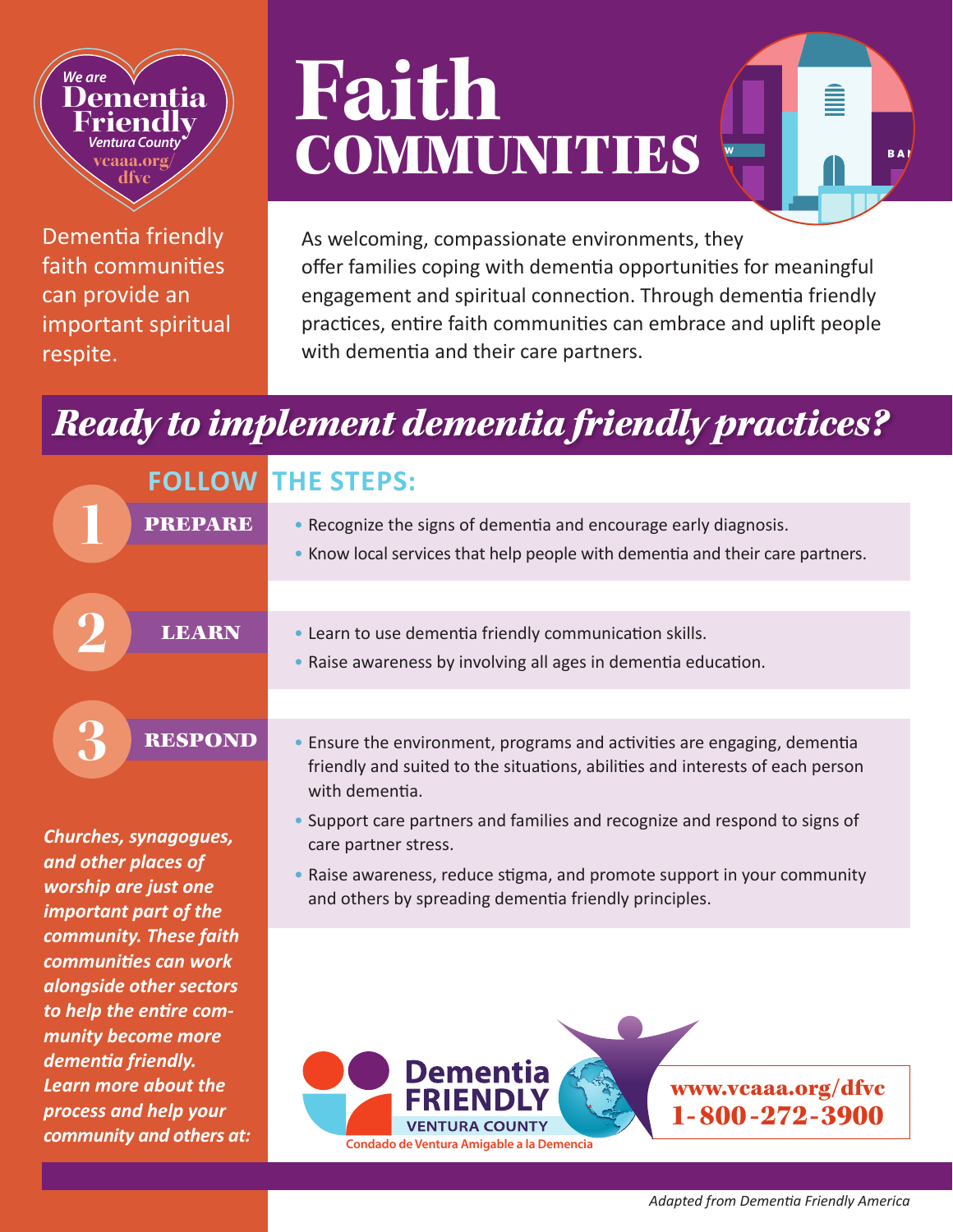## *We are* **Dementia Friendly** *Ventura County* **vcaaa.org/ dfvc**

Dementia friendly faith communities can provide an important spiritual respite.

## **Faith** COMMUNITIES

As welcoming, compassionate environments, they offer families coping with dementia opportunities for meaningful engagement and spiritual connection. Through dementia friendly practices, entire faith communities can embrace and uplift people with dementia and their care partners.

B A

## *Ready to implement dementia friendly practices?*

| <b>FOLLOW</b><br><b>PREPARE</b> |
|---------------------------------|
| <b>LEARN</b>                    |
| <b>RESPOND</b>                  |

*Churches, synagogues, and other places of worship are just one important part of the community. These faith communities can work alongside other sectors to help the entire community become more dementia friendly. Learn more about the process and help your community and others at:*

## **THE STEPS:**

- 
- Recognize the signs of dementia and encourage early diagnosis.<br>• Know local services that help people with dementia and their care partners.
- Learn to use dementia friendly communication skills.
- Raise awareness by involving all ages in dementia education.
- Ensure the environment, programs and activities are engaging, dementia friendly and suited to the situations, abilities and interests of each person with dementia.
- Support care partners and families and recognize and respond to signs of care partner stress.
- Raise awareness, reduce stigma, and promote support in your community and others by spreading dementia friendly principles.

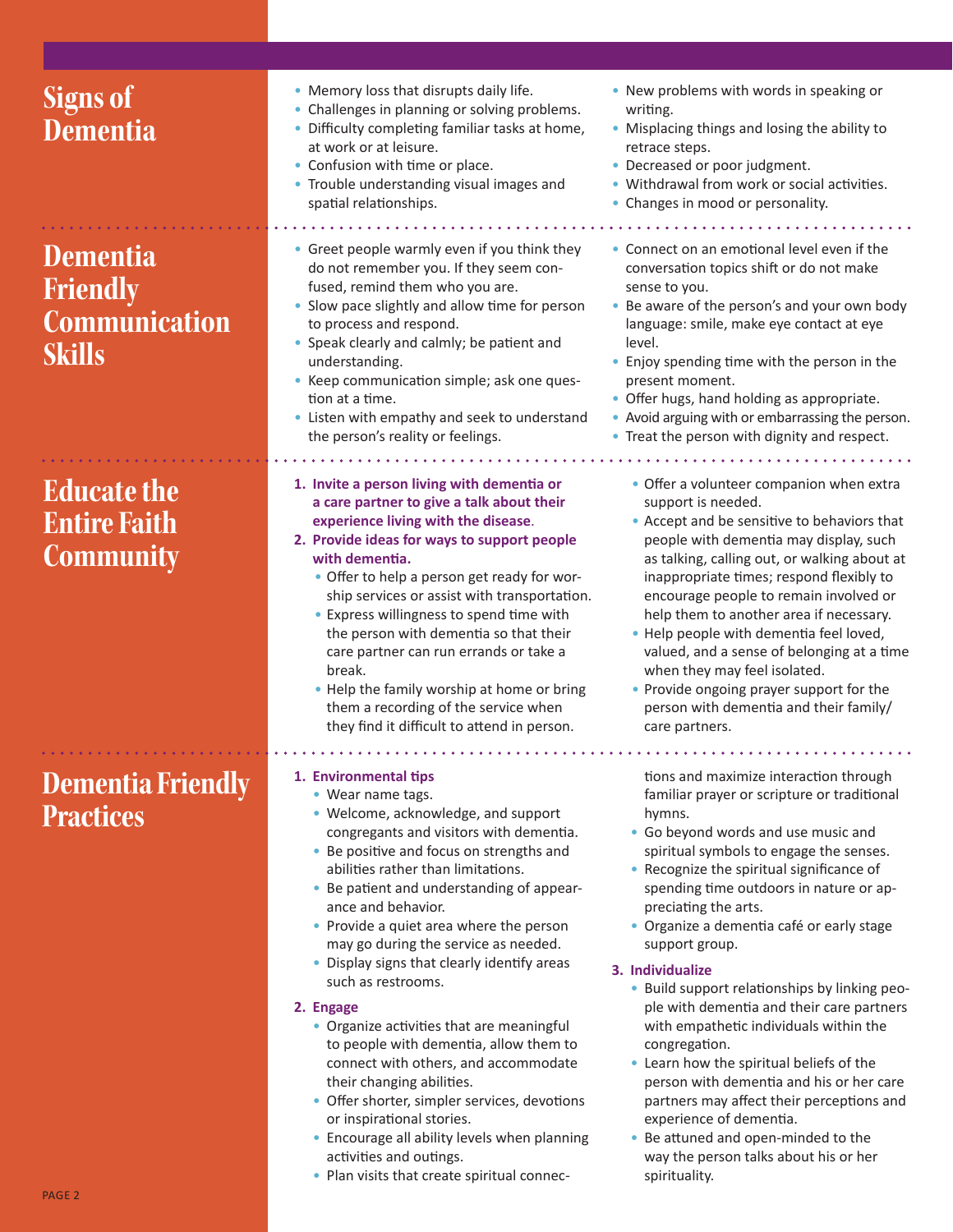| <b>Signs of</b><br><b>Dementia</b><br><b>Dementia</b><br><b>Friendly</b><br><b>Communication</b><br><b>Skills</b> | • Memory loss that disrupts daily life.<br>• Challenges in planning or solving problems.<br>• Difficulty completing familiar tasks at home,<br>at work or at leisure.<br>• Confusion with time or place.<br>• Trouble understanding visual images and<br>spatial relationships.<br>• Greet people warmly even if you think they<br>do not remember you. If they seem con-<br>fused, remind them who you are.<br>• Slow pace slightly and allow time for person<br>to process and respond.<br>• Speak clearly and calmly; be patient and<br>understanding.<br>• Keep communication simple; ask one ques-<br>tion at a time.<br>• Listen with empathy and seek to understand<br>the person's reality or feelings.                                                                                                           | • New problems with words in speaking or<br>writing.<br>• Misplacing things and losing the ability to<br>retrace steps.<br>• Decreased or poor judgment.<br>• Withdrawal from work or social activities.<br>• Changes in mood or personality.<br>• Connect on an emotional level even if the<br>conversation topics shift or do not make<br>sense to you.<br>• Be aware of the person's and your own body<br>language: smile, make eye contact at eye<br>level.<br>• Enjoy spending time with the person in the<br>present moment.<br>• Offer hugs, hand holding as appropriate.<br>• Avoid arguing with or embarrassing the person.<br>• Treat the person with dignity and respect.                                                                                                                           |
|-------------------------------------------------------------------------------------------------------------------|---------------------------------------------------------------------------------------------------------------------------------------------------------------------------------------------------------------------------------------------------------------------------------------------------------------------------------------------------------------------------------------------------------------------------------------------------------------------------------------------------------------------------------------------------------------------------------------------------------------------------------------------------------------------------------------------------------------------------------------------------------------------------------------------------------------------------|----------------------------------------------------------------------------------------------------------------------------------------------------------------------------------------------------------------------------------------------------------------------------------------------------------------------------------------------------------------------------------------------------------------------------------------------------------------------------------------------------------------------------------------------------------------------------------------------------------------------------------------------------------------------------------------------------------------------------------------------------------------------------------------------------------------|
| <b>Educate the</b><br><b>Entire Faith</b><br><b>Community</b>                                                     | 1. Invite a person living with dementia or<br>a care partner to give a talk about their<br>experience living with the disease.<br>2. Provide ideas for ways to support people<br>with dementia.<br>• Offer to help a person get ready for wor-<br>ship services or assist with transportation.<br>• Express willingness to spend time with<br>the person with dementia so that their<br>care partner can run errands or take a<br>break.<br>• Help the family worship at home or bring<br>them a recording of the service when<br>they find it difficult to attend in person.                                                                                                                                                                                                                                             | • Offer a volunteer companion when extra<br>support is needed.<br>• Accept and be sensitive to behaviors that<br>people with dementia may display, such<br>as talking, calling out, or walking about at<br>inappropriate times; respond flexibly to<br>encourage people to remain involved or<br>help them to another area if necessary.<br>• Help people with dementia feel loved,<br>valued, and a sense of belonging at a time<br>when they may feel isolated.<br>• Provide ongoing prayer support for the<br>person with dementia and their family/<br>care partners.                                                                                                                                                                                                                                      |
| <b>Dementia Friendly</b><br><b>Practices</b>                                                                      | 1. Environmental tips<br>• Wear name tags.<br>• Welcome, acknowledge, and support<br>congregants and visitors with dementia.<br>• Be positive and focus on strengths and<br>abilities rather than limitations.<br>• Be patient and understanding of appear-<br>ance and behavior.<br>• Provide a quiet area where the person<br>may go during the service as needed.<br>• Display signs that clearly identify areas<br>such as restrooms.<br>2. Engage<br>• Organize activities that are meaningful<br>to people with dementia, allow them to<br>connect with others, and accommodate<br>their changing abilities.<br>• Offer shorter, simpler services, devotions<br>or inspirational stories.<br>• Encourage all ability levels when planning<br>activities and outings.<br>• Plan visits that create spiritual connec- | tions and maximize interaction through<br>familiar prayer or scripture or traditional<br>hymns.<br>• Go beyond words and use music and<br>spiritual symbols to engage the senses.<br>• Recognize the spiritual significance of<br>spending time outdoors in nature or ap-<br>preciating the arts.<br>· Organize a dementia café or early stage<br>support group.<br>3. Individualize<br>• Build support relationships by linking peo-<br>ple with dementia and their care partners<br>with empathetic individuals within the<br>congregation.<br>• Learn how the spiritual beliefs of the<br>person with dementia and his or her care<br>partners may affect their perceptions and<br>experience of dementia.<br>• Be attuned and open-minded to the<br>way the person talks about his or her<br>spirituality. |